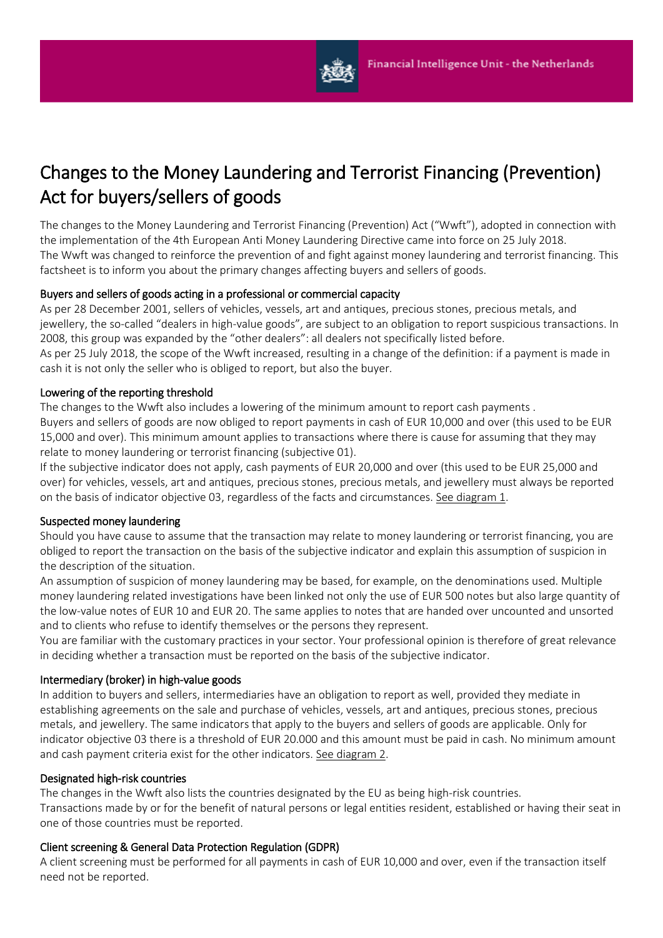

# Changes to the Money Laundering and Terrorist Financing (Prevention) Act for buyers/sellers of goods

The changes to the Money Laundering and Terrorist Financing (Prevention) Act ("Wwft"), adopted in connection with the implementation of the 4th European Anti Money Laundering Directive came into force on 25 July 2018. The Wwft was changed to reinforce the prevention of and fight against money laundering and terrorist financing. This factsheet is to inform you about the primary changes affecting buyers and sellers of goods.

## Buyers and sellers of goods acting in a professional or commercial capacity

As per 28 December 2001, sellers of vehicles, vessels, art and antiques, precious stones, precious metals, and jewellery, the so-called "dealers in high-value goods", are subject to an obligation to report suspicious transactions. In 2008, this group was expanded by the "other dealers": all dealers not specifically listed before.

As per 25 July 2018, the scope of the Wwft increased, resulting in a change of the definition: if a payment is made in cash it is not only the seller who is obliged to report, but also the buyer.

#### Lowering of the reporting threshold

The changes to the Wwft also includes a lowering of the minimum amount to report cash payments . Buyers and sellers of goods are now obliged to report payments in cash of EUR 10,000 and over (this used to be EUR 15,000 and over). This minimum amount applies to transactions where there is cause for assuming that they may relate to money laundering or terrorist financing (subjective 01).

If the subjective indicator does not apply, cash payments of EUR 20,000 and over (this used to be EUR 25,000 and over) for vehicles, vessels, art and antiques, precious stones, precious metals, and jewellery must always be reported on the basis of indicator objective 03, regardless of the facts and circumstances. See diagram 1.

## Suspected money laundering

Should you have cause to assume that the transaction may relate to money laundering or terrorist financing, you are obliged to report the transaction on the basis of the subjective indicator and explain this assumption of suspicion in the description of the situation.

An assumption of suspicion of money laundering may be based, for example, on the denominations used. Multiple money laundering related investigations have been linked not only the use of EUR 500 notes but also large quantity of the low-value notes of EUR 10 and EUR 20. The same applies to notes that are handed over uncounted and unsorted and to clients who refuse to identify themselves or the persons they represent.

You are familiar with the customary practices in your sector. Your professional opinion is therefore of great relevance in deciding whether a transaction must be reported on the basis of the subjective indicator.

#### Intermediary (broker) in high-value goods

In addition to buyers and sellers, intermediaries have an obligation to report as well, provided they mediate in establishing agreements on the sale and purchase of vehicles, vessels, art and antiques, precious stones, precious metals, and jewellery. The same indicators that apply to the buyers and sellers of goods are applicable. Only for indicator objective 03 there is a threshold of EUR 20.000 and this amount must be paid in cash. No minimum amount and cash payment criteria exist for the other indicators. See diagram 2.

#### Designated high-risk countries

The changes in the Wwft also lists the countries designated by the EU as being high-risk countries.

Transactions made by or for the benefit of natural persons or legal entities resident, established or having their seat in one of those countries must be reported.

#### Client screening & General Data Protection Regulation (GDPR)

A client screening must be performed for all payments in cash of EUR 10,000 and over, even if the transaction itself need not be reported.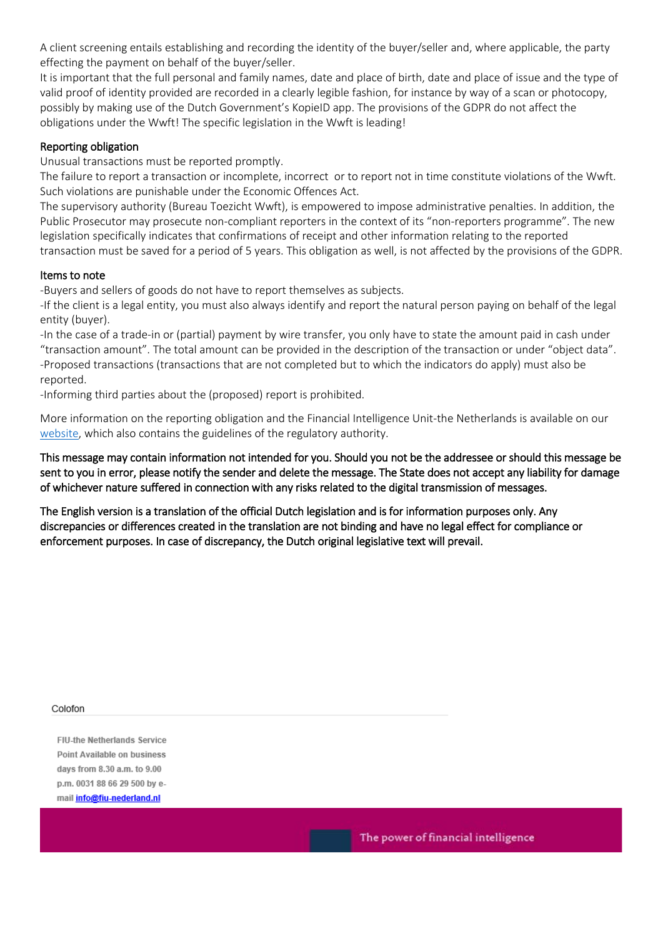A client screening entails establishing and recording the identity of the buyer/seller and, where applicable, the party effecting the payment on behalf of the buyer/seller.

It is important that the full personal and family names, date and place of birth, date and place of issue and the type of valid proof of identity provided are recorded in a clearly legible fashion, for instance by way of a scan or photocopy, possibly by making use of the Dutch Government's KopieID app. The provisions of the GDPR do not affect the obligations under the Wwft! The specific legislation in the Wwft is leading!

### Reporting obligation

Unusual transactions must be reported promptly.

The failure to report a transaction or incomplete, incorrect or to report not in time constitute violations of the Wwft. Such violations are punishable under the Economic Offences Act.

The supervisory authority (Bureau Toezicht Wwft), is empowered to impose administrative penalties. In addition, the Public Prosecutor may prosecute non-compliant reporters in the context of its "non-reporters programme". The new legislation specifically indicates that confirmations of receipt and other information relating to the reported transaction must be saved for a period of 5 years. This obligation as well, is not affected by the provisions of the GDPR.

#### Items to note

-Buyers and sellers of goods do not have to report themselves as subjects.

-If the client is a legal entity, you must also always identify and report the natural person paying on behalf of the legal entity (buyer).

-In the case of a trade-in or (partial) payment by wire transfer, you only have to state the amount paid in cash under "transaction amount". The total amount can be provided in the description of the transaction or under "object data". -Proposed transactions (transactions that are not completed but to which the indicators do apply) must also be reported.

-Informing third parties about the (proposed) report is prohibited.

More information on the reporting obligation and the Financial Intelligence Unit-the Netherlands is available on our [website,](https://www.fiu-nederland.nl/en) which also contains the guidelines of the regulatory authority.

This message may contain information not intended for you. Should you not be the addressee or should this message be sent to you in error, please notify the sender and delete the message. The State does not accept any liability for damage of whichever nature suffered in connection with any risks related to the digital transmission of messages.

The English version is a translation of the official Dutch legislation and is for information purposes only. Any discrepancies or differences created in the translation are not binding and have no legal effect for compliance or enforcement purposes. In case of discrepancy, the Dutch original legislative text will prevail.

#### Colofon

**FIU-the Netherlands Service** Point Available on business days from 8.30 a.m. to 9.00 p.m. 0031 88 66 29 500 by email *info@fiu-nederland.nl* 

The power of financial intelligence